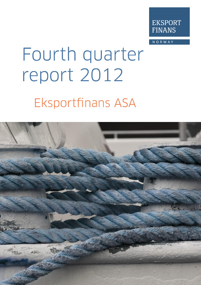

**NORWAY** 

# Fourth quarter report 2012 **Eksportfinans ASA**

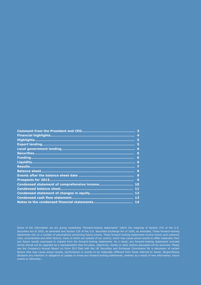|                                                | 4 |
|------------------------------------------------|---|
|                                                | 5 |
|                                                | 5 |
|                                                | 6 |
|                                                | 6 |
|                                                | 6 |
|                                                | 6 |
|                                                | 7 |
|                                                | 9 |
|                                                | 9 |
|                                                | 9 |
| Condensed statement of comprehensive income 10 |   |
|                                                |   |
|                                                |   |
|                                                |   |
|                                                |   |
|                                                |   |

Some of the information we are giving constitutes "forward-looking statements" within the meaning of Section 27A of the U.S. Securities Act of 1933, as amended and Section 21E of the U.S. Securities Exchange Act of 1934, as amended. These forward-looking statements rely on a number of assumptions concerning future events. These forward-looking statements involve known and unknown risks, uncertainties and other factors, many of which are outside of our control, which may cause actual results to differ materially from any future results expressed or implied from the forward-looking statements. As a result, any forward-looking statements included herein should not be regarded as a representation that the plans, objectives, results or other actions discussed will be achieved. Please see the Company's Annual Report on Form 20-f filed with the US Securities and Exchange Commission for a discussion of certain factors that may cause actual results, performance or events to be materially different from those referred to herein. Eksportfinans disclaims any intention or obligation to update or revise any forward-looking statements, whether as a result of new information, future events or otherwise..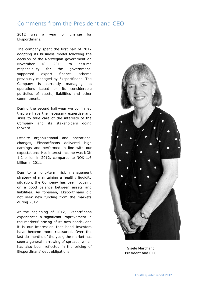# Comments from the President and CEO

2012 was a year of change for Eksportfinans.

The company spent the first half of 2012 adapting its business model following the decision of the Norwegian government on November 18, 2011 to assume responsibility for the governmentsupported export finance scheme previously managed by Eksportfinans. The Company is currently managing its operations based on its considerable portfolios of assets, liabilities and other commitments.

During the second half-year we confirmed that we have the necessary expertise and skills to take care of the interests of the Company and its stakeholders going forward.

Despite organizational and operational changes, Eksportfinans delivered high earnings and performed in line with our expectations. Net interest income was NOK 1.2 billion in 2012, compared to NOK 1.6 billion in 2011.

Due to a long-term risk management strategy of maintaining a healthy liquidity situation, the Company has been focusing on a good balance between assets and liabilities. As foreseen, Eksportfinans did not seek new funding from the markets during 2012.

At the beginning of 2012, Eksportfinans experienced a significant improvement in the markets' pricing of its own bonds, and it is our impression that bond investors have become more reassured. Over the last six months of the year, the market has seen a general narrowing of spreads, which has also been reflected in the pricing of Eksportfinans' debt obligations.



Gisèle Marchand President and CEO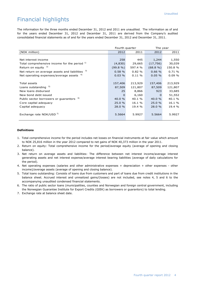# Financial highlights

The information for the three months ended December 31, 2012 and 2011 are unaudited. The information as of and for the years ended December 31, 2012 and December 31, 2011 are derived from the Company's audited consolidated financial statements as of and for the years ended December 31, 2012 and December 31, 2011.

|                                                     | Fourth quarter |           | The year    |         |
|-----------------------------------------------------|----------------|-----------|-------------|---------|
| (NOK million)                                       | 2012           | 2011      | 2012        | 2011    |
|                                                     |                |           |             |         |
| Net interest income                                 | 258            | 445       | 1,244       | 1,550   |
| Total comprehensive income for the period 1)        | (4,830)        | 29,665    | (17, 756)   | 30,039  |
| Return on equity $^{2)}$                            | $(99.8\%)$     | 597.4 %   | $(68.8\% )$ | 150.8 % |
| Net return on average assets and liabilities        | 0.58%          | 0.82%     | 0.66%       | 0.71%   |
| Net operating expenses/average assets $4)$          | 0.03%          | $0.11 \%$ | 0.05%       | 0.09%   |
|                                                     |                |           |             |         |
| Total assets                                        | 157,406        | 213,929   | 157,406     | 213,929 |
| Loans outstanding 5)                                | 87,509         | 121,807   | 87,509      | 121,807 |
| New loans disbursed                                 | 25             | 8,866     | 923         | 33,685  |
| New bond debt issued                                | $\Omega$       | 6,160     | 0           | 51,552  |
| Public sector borrowers or guarantors <sup>6)</sup> | 40.0 %         | 40.1 %    | 40.0 %      | 40.1 %  |
| Core capital adequacy                               | 25.0%          | 16.1 %    | 25.0%       | 16.1 %  |
| Capital adequacy                                    | 28.0 %         | 19.4 %    | 28.0 %      | 19.4 %  |
| Exchange rate NOK/USD <sup>7)</sup>                 | 5.5664         | 5.9927    | 5.5664      | 5.9927  |

#### **Definitions**

- 1.Total comprehensive income for the period includes net losses on financial instruments at fair value which amount to NOK 25,816 million in the year 2012 compared to net gains of NOK 40,373 million in the year 2011.
- 2. Return on equity: Total comprehensive income for the period/average equity (average of opening and closing balance).
- 3. Net return on average assets and liabilities: The difference between net interest income/average interest generating assets and net interest expense/average interest bearing liabilities (average of daily calculations for the period).
- 4. Net operating expenses (salaries and other administrative expenses + depreciation + other expenses other income)/average assets (average of opening and closing balance).
- 5. Total loans outstanding: Consists of loans due from customers and part of loans due from credit institutions in the balance sheet. Accrued interest and unrealized gains/(losses) are not included, see notes 4, 5 and 6 to the accompanying unaudited condensed financial statements.
- 6. The ratio of public sector loans (municipalities, counties and Norwegian and foreign central government, including the Norwegian Guarantee Institute for Export Credits (GIEK) as borrowers or guarantors) to total lending.
- 7. Exchange rate at balance sheet date.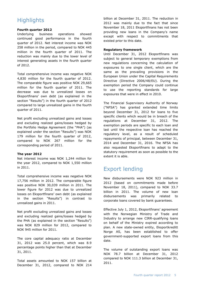# **Highlights**

#### **Fourth quarter 2012**

Underlying business operations showed continued good performance in the fourth quarter of 2012. Net interest income was NOK 258 million in the period, compared to NOK 445 million in the fourth quarter of 2011. The reduction was mainly due to the lower level of interest generating assets in the fourth quarter of 2012.

Total comprehensive income was negative NOK 4,830 million for the fourth quarter of 2012. The comparable figure was positive NOK 29,665 million for the fourth quarter of 2011. The decrease was due to unrealized losses on Eksportfinans' own debt (as explained in the section "Results") in the fourth quarter of 2012 compared to large unrealized gains in the fourth quarter of 2011.

Net profit excluding unrealized gains and losses and excluding realized gains/losses hedged by the Portfolio Hedge Agreement (the "PHA") (as explained under the section "Results") was NOK 179 million for the fourth quarter of 2012, compared to NOK 267 million for the corresponding period of 2011.

#### **The year 2012**

Net interest income was NOK 1,244 million for the year 2012, compared to NOK 1,550 million in 2011.

Total comprehensive income was negative NOK 17,756 million in 2012. The comparable figure was positive NOK 30,039 million in 2011. The lower figure for 2012 was due to unrealized losses on Eksportfinans' own debt (as explained in the section "Results") in contrast to unrealized gains in 2011.

Net profit excluding unrealized gains and losses and excluding realized gains/losses hedged by the PHA (as explained in the section "Results") was NOK 829 million for 2012, compared to NOK 945 million for 2011.

The core capital adequacy ratio at December 31, 2012 was 25.0 percent, which was 8.9 percentage points higher than that at December 31, 2011.

Total assets amounted to NOK 157 billion at December 31, 2012, compared to NOK 214

billion at December 31, 2011. The reduction in 2012 was mainly due to the fact that since November 18, 2011 Eksportfinans has not been providing new loans in the Company's name except with respect to commitments that existed prior to this date.

#### **Regulatory framework**

Until December 31, 2012 Eksportfinans was subject to general temporary exemptions from new regulations concerning the calculation of exposures to one single client, which are the same as the prevailing provisions in the European Union under the Capital Requirements Directive (Directive 2006/48/EU). During the exemption period the Company could continue to use the reporting standards for large exposures that were in effect in 2010.

The Financial Supervisory Authority of Norway ("NFSA") has granted extended time limits beyond December 31, 2012 for loans to five specific clients which would be in breach of the regulations at December 31, 2012. The exemption periods are specific to each loan and last until the respective loan has reached the regulatory level, as a result of scheduled repayments of principal, between December 31, 2014 and December 31, 2016. The NFSA has also requested Eksportfinans to adapt to the statutory requirement as soon as possible to the extent it is able.

# Export lending

New disbursements were NOK 923 million in 2012 (based on commitments made before November 18, 2011), compared to NOK 33.7 billion in 2011. The volume of new loan disbursements was primarily related to corporate loans covered by bank guarantees.

Effective July 1, 2012, Eksportfinans' agreement with the Norwegian Ministry of Trade and Industry to arrange new CIRR-qualifying loans on behalf of the Ministry expired according to plan. A new state-owned entity, Eksportkreditt Norge AS, has been established to offer government-supported export loans from this date.

The volume of outstanding export loans was NOK 78.7 billion at December 31, 2012 compared to NOK 111.3 billion at December 31, 2011.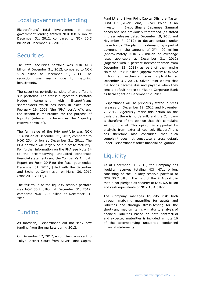# Local government lending

Eksportfinans' total involvement in local government lending totaled NOK 8.8 billion at December 31, 2012, compared to NOK 10.5 billion at December 31, 2011.

## **Securities**

The total securities portfolio was NOK 41.8 billion at December 31, 2012, compared to NOK 51.9 billion at December 31, 2011. The reduction was mainly due to maturing investments.

The securities portfolio consists of two different sub-portfolios. The first is subject to a Portfolio Hedge Agreement with Eksportfinans shareholders which has been in place since February 29, 2008 (the "PHA portfolio"), and the second is maintained for the purpose of liquidity (referred to herein as the "liquidity reserve portfolio").

The fair value of the PHA portfolio was NOK 11.6 billion at December 31, 2012, compared to NOK 23.4 billion at December 31, 2011. The PHA portfolio will largely be run off to maturity. For further information on the PHA see Note 14 to the accompanying unaudited condensed financial statements and the Company's Annual Report on Form 20-F for the fiscal year ended December 31, 2011, (filed with the Securities and Exchange Commission on March 30, 2012 ("the 2011 20-F")).

The fair value of the liquidity reserve portfolio was NOK 30.2 billion at December 31, 2012, compared NOK 28.5 billion at December 31, 2011.

# Funding

As foreseen, Eksportfinans did not seek new funding from the markets during 2012.

On December 12, 2012, a complaint was sent to Tokyo District Court from Silver Point Capital

Fund LP and Silver Point Capital Offshore Master Fund LP (Silver Point). Silver Point is an investor in Eksportfinans Japanese Samurai bonds and has previously threatened (as stated in press releases dated December 19, 2011 and November 7, 2012) to declare default under these bonds. The plaintiff is demanding a partial payment in the amount of JPY 400 million (approximately NOK 26 million at exchange rates applicable at December 31, 2012) (together with 6 percent interest thereon from December 13, 2011) as part of their entire claim of JPY 8.6 billion (approximately NOK 552 million at exchange rates applicable at December 31, 2012). Silver Point claims that the bonds became due and payable when they sent a default notice to Mizuho Corporate Bank as fiscal agent on December 12, 2011.

Eksportfinans will, as previously stated in press releases on December 19, 2011 and November 7, 2012, vigorously resist this action on the basis that there is no default, and the Company is therefore of the opinion that this complaint will not prevail. This opinion is supported by analysis from external counsel. Eksportfinans has therefore also concluded that such complaint does not constitute a cross default under Eksportfinans' other financial obligations.

# **Liquidity**

As at December 31, 2012, the Company has liquidity reserves totaling NOK 47.1 billion, consisting of the liquidity reserve portfolio of NOK 30.2 billion, the part of the PHA portfolio that is not pledged as security of NOK 6.5 billion and cash equivalents of NOK 10.4 billion.

The Company manages liquidity risk both through matching maturities for assets and liabilities and through stress-testing for the short- and medium term. A maturity analysis of financial liabilities based on both contractual and expected maturities is included in note 16 of the accompanying unaudited condensed financial statements.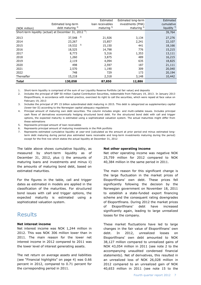|               |                                                                    | Estimated        | Estimated long-term    | Estimated               |
|---------------|--------------------------------------------------------------------|------------------|------------------------|-------------------------|
|               | Estimated long-term                                                | loan receivables | investments (PHA)      | cumulative              |
| (NOK million) | debt maturing $4$ )                                                | maturing $5$     | maturing <sup>6)</sup> | liquidity $\frac{7}{2}$ |
|               | Short-term liquidity (actual) at December 31, 2012 <sup>1</sup> ): |                  |                        | 39,764                  |
| 2013          | 2)<br>37,548                                                       | 21,926           | 3,134                  | 27,276                  |
| 2014          | 23,267                                                             | 15,857           | 2,241                  | 22,107                  |
| 2015          | 3)<br>19,532                                                       | 15,150           | 441                    | 18,166                  |
| 2016          | 18,525                                                             | 14,798           | 776                    | 15,215                  |
| 2017          | 8,773                                                              | 5,316            | 1,353                  | 13,111                  |
| 2018          | 1,260                                                              | 3,875            | 489                    | 16,215                  |
| 2019          | 2,119                                                              | 4,094            | 635                    | 18,825                  |
| 2020          | 498                                                                | 2,597            | 187                    | 21,111                  |
| 2021          | 2,570                                                              | 1,190            | 309                    | 20,040                  |
| 2022          | 748                                                                | 729              | 173                    | 20,194                  |
| Thereafter    | 15,218                                                             | 2,318            | 3,148                  | 10,442                  |
| <b>Total</b>  | 130,058                                                            | 87,850           | 12,886                 |                         |

1. Short-term liquidity is comprised of the sum of our Liquidity Reserve Portfolio (at fair value) and deposits

2. Includes the principal of GBP 50 million Capital Contribution Securities, redeemable from February 19, 2013. In January 2013 Eksportfinans, in accordance with market practice, exercised its right to call the securities, which were repaid at face value on February 19, 2013

3. Includes the principal of JPY 15 billion subordinated debt maturing in 2015. This debt is categorized as supplementary capital (lower tier II) according to the Norwegian capital adequacy regulations

4. Principal amount of maturing own debt securities. The column includes single- and multi-callable issues. Includes principal cash flows of derivatives economically hedging structured bond debt. For the structured bond debt with call and trigger options, the expected maturity is estimated using a sophisticated valuation system. The actual maturities might differ from these estimations

5. Represents principal amount of loan receivables

6. Represents principal amount of maturing investments in the PHA portfolio

7. Represents estimated cumulative liquidity at year-end (calculated as the amount at prior period end minus estimated longterm debt maturing during period plus estimated loans receivable and long-term investments maturing during the period) except for the first row which states the actual liquidity at December 31, 2012

The table above shows cumulative liquidity, as measured by short-term liquidity as of December 31, 2012, plus i) the amounts of maturing loans and investments and minus ii) the amounts of maturing bond debt, based on estimated maturities.

For the figures in the table, call and trigger dates as estimated in models are applied in the classification of the maturities. For structured bond issues with call and trigger options, the expected maturity is estimated using a sophisticated valuation system.

#### Results

#### **Net interest income**

Net interest income was NOK 1,244 million in 2012. This was NOK 306 million lower than in 2011. The main reason for the lower net interest income in 2012 compared to 2011 was the lower level of interest generating assets.

The net return on average assets and liabilities (see "Financial highlights" on page 4) was 0.66 percent in 2012, compared to 0.71 percent for the corresponding period in 2011.

#### **Net other operating income**

Net other operating income was negative NOK 25,759 million for 2012 compared to NOK 40,384 million in the same period in 2011.

The main reason for this significant change is the large fluctuation in the market prices of Eksportfinans' own debt. These prices fell significantly following the decision by the Norwegian government on November 18, 2011 to establish a state-funded export financing scheme and the consequent rating downgrades of Eksportfinans. During 2012 the market prices of Eksportfinans' debt have increased significantly again, leading to large unrealized losses for the company.

These market fluctuations have led to large changes in the fair value of Eksportfinans' own debt. In 2012, unrealized losses on Eksportfinans' own debt amounted to NOK 38,127 million compared to unrealized gains of NOK 43,054 million in 2011 (see note 2 to the accompanying unaudited condensed financial statements). Net of derivatives, this resulted in an unrealized loss of NOK 26,028 million in 2012 compared to an unrealized gain of NOK 40,653 million in 2011 (see note 15 to the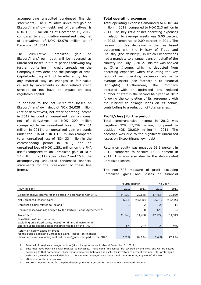accompanying unaudited condensed financial statements). The cumulative unrealized gain on Eksportfinans' own debt, net of derivatives, is NOK 15,962 million as of December 31, 2012, compared to a cumulative unrealized gain, net of derivatives, of NOK 42,070 million as of December 31, 2011.

The cumulative unrealized gain on Eksportfinans' own debt will be reversed as unrealized losses in future periods following any further tightening in credit spreads on the Company's own debt and the passage of time. Capital adequacy will not be affected by this in any material way as changes in fair value caused by movements in debt related credit spreads do not have an impact on total regulatory capital.

In addition to the net unrealized losses on Eksportfinans' own debt of NOK 26,028 million (net of derivatives), net other operating income in 2012 included an unrealized gain on loans, net of derivatives, of NOK 209 million (compared to an unrealized loss of NOK 51 million in 2011), an unrealized gain on bonds under the PHA of NOK 1,160 million (compared to an unrealized loss of NOK 33 million in the corresponding period in 2011) and an unrealized loss of NOK 1,251 million on the PHA itself (compared to an unrealized gain of NOK 57 million in 2011). (See notes 2 and 15 to the accompanying unaudited condensed financial statements for the breakdown of these line items).

#### **Total operating expenses**

Total operating expenses amounted to NOK 144 million in 2012, compared to NOK 213 million in 2011. The key ratio of net operating expenses in relation to average assets was 0.05 percent in 2012, compared to 0.09 percent in 2011. The reason for this decrease is the fee based agreement with the Ministry of Trade and Industry (the "Ministry") in which Eksportfinans had a mandate to arrange loans on behalf of the Ministry until July 1, 2012. This fee was booked as Other Income, which is deducted from operating expenses when calculating the key ratio of net operating expenses relative to average assets (see footnote 4 to Financial Highlights). Furthermore, the Company operated with an optimized and reduced number of staff in the second half-year of 2012 following the completion of its agreement with the Ministry to arrange loans on its behalf, contributing to a reduction of total salaries.

#### **Profit/(loss) for the period**

Total comprehensive income in 2012 was negative NOK 17,756 million, compared to positive NOK 30,039 million in 2011. The decrease was due to the significant unrealized losses on Eksportfinans' own debt.

Return on equity was negative 68.8 percent in 2012, compared to positive 150.8 percent in 2011. This was also due to the debt-related unrealized losses.

The non-IFRS measure of profit excluding unrealized gains and losses on financial

|                                                                                                                                                                                          | Fourth quarter |           | The year  |           |
|------------------------------------------------------------------------------------------------------------------------------------------------------------------------------------------|----------------|-----------|-----------|-----------|
| (NOK million)                                                                                                                                                                            | 2012           | 2011      | 2012      | 2011      |
| Comprehensive income for the period in accordance with IFRS                                                                                                                              | (4,830)        | 29,665    | (17, 756) | 30,039    |
| Net unrealized losses/(gains)                                                                                                                                                            | 6,945          | (40, 830) | 25,812    | (40, 515) |
| Unrealized gains related to Iceland <sup>1)</sup>                                                                                                                                        | 12             | 2         | 26        | 14        |
| Realized losses/(gains) hedged by the Porfolio Hedge Agreement <sup>2)</sup>                                                                                                             | $\Omega$       | 0         | (26)      | 94        |
| Tax effect <sup>3)</sup>                                                                                                                                                                 | (1,948)        | 11,430    | (7, 227)  | 11,313    |
| Non-IFRS profit for the period<br>excluding unrealized gains/(losses) on financial instruments<br>and excluding realized losses/(gains) hedged by the PHA                                | 179            | 267       | 829       | 945       |
| Return on equity based on profit<br>for the period excluding unrealized gains/(losses) on financial<br>instruments and excluding realized losses/(gains) hedged by the PHA <sup>4)</sup> | 10.7%          | 18.3%     | 13.0 %    | 17.2 %    |

1. Reversal of previously recognized loss (at exchange rates applicable at December 31, 2012).

2. Securities have been sold with realized gains/losses. These gains and losses are covered by the PHA, and will be settled according to that agreement. Eksportfinans therefore believes it is useful for investors to present this non-IFRS profit figure with such gains/losses excluded due to the economic arrangements under, and the accounting impacts of, the PHA.

3. 28 percent of the items above.

4. Return on equity: Profit for the period/average equity adjusted for proposed not distributed dividends.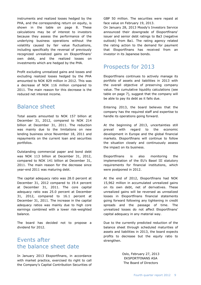instruments and realized losses hedged by the PHA, and the corresponding return on equity, is shown in the table on page 8. These calculations may be of interest to investors because they assess the performance of the underlying business operations without the volatility caused by fair value fluctuations, including specifically the reversal of previously recognized unrealized gains on Eksportfinans' own debt, and the realized losses on investments which are hedged by the PHA.

Profit excluding unrealized gains and losses and excluding realized losses hedged by the PHA amounted to NOK 829 million in 2012. This was a decrease of NOK 116 million compared to 2011. The main reason for this decrease is the reduced net interest income.

## Balance sheet

Total assets amounted to NOK 157 billion at December 31, 2012, compared to NOK 214 billion at December 31, 2011. The reduction was mainly due to the limitations on new lending business since November 18, 2011 and repayments on the current loan and securities portfolios.

Outstanding commercial paper and bond debt was NOK 113 billion at December 31, 2012, compared to NOK 141 billion at December 31, 2011. The main reason for the decrease since year-end 2011 was maturing debt.

The capital adequacy ratio was 28.0 percent at December 31, 2012 compared to 19.4 percent at December 31, 2011. The core capital adequacy ratio was 25.0 percent at December 31, 2012, compared to 16.1 percent at December 31, 2011. The increase in the capital adequacy ratios was mainly due to high core earnings combined with a lower risk-weighted balance.

The board has decided not to propose a dividend for 2012.

## Events after the balance sheet date

In January 2013 Eksportfinans, in accordance with market practice, exercised its right to call the Company's Capital Contribution Securities of

GBP 50 million. The securities were repaid at face value on February 19, 2013.

On January 28, 2013 Moody's Investors Service announced their downgrade of Eksportfinans' issuer and senior debt ratings to Ba3 (negative outlook) from Ba1. The rating agency related the rating action to the demand for payment that Eksportfinans has received from an investor in its Japanese bonds.

# Prospects for 2013

Eksportfinans continues to actively manage its portfolio of assets and liabilities in 2013 with the overall objective of preserving company value. The cumulative liquidity calculations (see table on page 7), suggest that the company will be able to pay its debt as it falls due.

Entering 2013, the board believes that the company has the required staff and expertise to handle its operations going forward.

At the beginning of 2013, uncertainties still prevail with regard to the economic development in Europe and the global financial markets. Eksportfinans will continue to follow the situation closely and continuously assess the impact on its business.

Eksportfinans is also monitoring the implementation of the EU's Basel III statutory requirements for financial institutions, which were postponed in 2012.

At the end of 2012, Eksportfinans had NOK 15,962 million in accumulated unrealized gains on its own debt, net of derivatives. These unrealized gains will be reversed as unrealized losses in Eksportfinans financial statements going forward following any tightening in credit spreads and the passage of time. The unrealized losses do not affect Eksportfinans' capital adequacy in any material way.

Due to the currently predicted reduction of the balance sheet through scheduled maturities of assets and liabilities in 2013, the board expects profits to decrease but the equity ratio to strengthen.

> Oslo, February 27, 2013 EKSPORTFINANS ASA The Board of Directors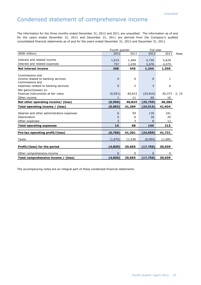# Condensed statement of comprehensive income

The information for the three months ended December 31, 2012 and 2011 are unaudited. The information as of and for the years ended December 31, 2012 and December 31, 2011 are derived from the Company's audited consolidated financial statements as of and for the years ended December 31, 2012 and December 31, 2011.

|                                                       |             | Fourth quarter<br>Full year |              |              |             |
|-------------------------------------------------------|-------------|-----------------------------|--------------|--------------|-------------|
| (NOK million)                                         | 2012        | 2011                        | 2012         | 2011         | <b>Note</b> |
| Interest and related income                           | 1,015       | 1,484                       | 4,720        | 5,629        |             |
| Interest and related expenses                         | 757         | 1,039                       | 3,476        | 4,079        |             |
| <b>Net interest income</b>                            | 258         | 445                         | 1,244        | 1,550        |             |
| Commissions and                                       |             |                             |              |              |             |
| income related to banking services<br>Commissions and | $\mathbf 0$ | 0                           | $\mathbf{0}$ | 1            |             |
| expenses related to banking services                  | $\mathbf 0$ | $\overline{2}$              | 3            | 6            |             |
| Net gains/(losses) on                                 |             |                             |              |              |             |
| financial instruments at fair value                   | (6,951)     | 40,815                      | (25, 816)    | 40,373       | 2, 15       |
| Other income                                          |             | 11                          | 60           | 16           |             |
| Net other operating income/ (loss)                    | (6,950)     | 40,824                      | (25, 759)    | 40,384       |             |
| Total operating income / (loss)                       | (6, 692)    | 41,269                      | (24, 515)    | 41,934       |             |
| Salaries and other administrative expenses            | 6           | 59                          | 118          | 181          |             |
| Depreciation                                          | 5           | 6                           | 18           | 20           |             |
| Other expenses                                        | 3           | 3                           | 8            | 12           |             |
| <b>Total operating expenses</b>                       | 14          | 68                          | 144          | 213          |             |
| Pre-tax operating profit/(loss)                       | (6,706)     | 41,201                      | (24, 659)    | 41,721       |             |
|                                                       |             |                             |              |              |             |
| Taxes                                                 | (1,876)     | 11,536                      | (6,904)      | 11,682       |             |
| Profit/(loss) for the period                          | (4, 830)    | 29,665                      | (17, 756)    | 30,039       |             |
| Other comprehensive income                            | $\mathbf 0$ | 0                           | 0            | $\mathbf{0}$ |             |
| Total comprehensive income / (loss)                   | (4, 830)    | 29,665                      | (17, 756)    | 30,039       |             |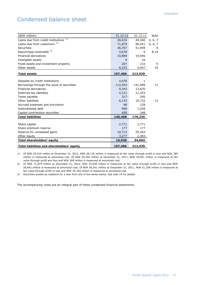# Condensed balance sheet

| (NOK million)                              | 31.12.12 | 31.12.11 | Note    |
|--------------------------------------------|----------|----------|---------|
| 1)<br>Loans due from credit institutions   | 26,410   | 40,340   | 4, 6, 7 |
| Loans due from customers <sup>2)</sup>     | 71,879   | 96,541   | 5, 6, 7 |
| <b>Securities</b>                          | 36,707   | 51,909   | 8       |
| Repurchase receivable 3)                   | 5,078    | 0        | 8,14    |
| Financial derivatives                      | 10,884   | 19,446   |         |
| Intangible assets                          | 9        | 16       |         |
| Fixed assets and investment property       | 207      | 210      | 9       |
| Other assets                               | 6,232    | 5,467    | 10      |
| <b>Total assets</b>                        | 157,406  | 213,929  |         |
|                                            |          |          |         |
| Deposits by credit institutions            | 4,476    | 1.       |         |
| Borrowings through the issue of securities | 112,543  | 141,489  | 11      |
| <b>Financial derivatives</b>               | 9,343    | 13,870   |         |
| Deferred tax liabilities                   | 4,121    | 11,343   |         |
| Taxes payable                              | 317      | 295      |         |
| Other liabilities                          | 8,133    | 10,722   | 12      |
| Accrued expenses and provisions            | 96       | 128      |         |
| Subordinated debt                          | 990      | 1,039    |         |
| Capital contribution securities            | 450      | 348      |         |
| <b>Total liabilities</b>                   | 140,468  | 179,235  |         |
|                                            |          |          |         |
| Share capital                              | 2,771    | 2,771    |         |
| Share premium reserve                      | 177      | 177      |         |
| Reserve for unrealized gains               | 10,713   | 29,363   |         |
| Other equity                               | 3,277    | 2,383    |         |
| <b>Total shareholders' equity</b>          | 16,938   | 34,694   |         |
| Total liabilities and shareholders' equity | 157,406  | 213,929  |         |

1) Of NOK 26,410 million at December 31, 2012, NOK 26,125 million is measured at fair value through profit or loss and NOK 285 million is measured at amortized cost. Of NOK 40,340 million at December 31, 2011, NOK 39,951 million is measured at fair value through profit and loss and NOK 389 million is measured at amortized cost.

2) Of NOK 71,879 million at December 31, 2012, NOK 43,038 million is measured at fair value through profit or loss and NOK 28,842 million is measured at amortized cost. Of NOK 96,541 million at December 31, 2011, NOK 61,358 million is measured at fair value through profit or loss and NOK 35,183 million is measured at amortized cost.

3) Securities posted as collateral for a loan from one of the owner banks. See note 14 for details.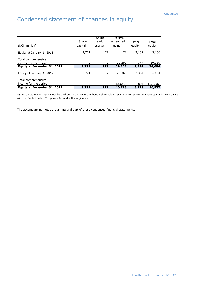# Condensed statement of changes in equity

| (NOK million)                                                               | Share<br>capital <sup>*)</sup> | Share<br>premium<br>reserve <sup>*)</sup> | Reserve<br>unrealized<br>gains $^{(*)}$ | Other<br>equity | Total<br>equity     |
|-----------------------------------------------------------------------------|--------------------------------|-------------------------------------------|-----------------------------------------|-----------------|---------------------|
| Equity at January 1, 2011                                                   | 2,771                          | 177                                       | 71                                      | 2,137           | 5,156               |
| Total comprehensive<br>income for the period<br>Equity at December 31, 2011 | 0<br>2,771                     | 0<br>177                                  | 29,292<br>29,363                        | 747<br>2,384    | 30,039<br>34,694    |
| Equity at January 1, 2012                                                   | 2,771                          | 177                                       | 29,363                                  | 2,384           | 34,694              |
| Total comprehensive<br>income for the period<br>Equity at December 31, 2012 | 0<br>2,771                     | 0<br>177                                  | (18,650)<br>10,713                      | 894<br>3,278    | (17, 756)<br>16,937 |

\*) Restricted equity that cannot be paid out to the owners without a shareholder resolution to reduce the share capital in accordance with the Public Limited Companies Act under Norwegian law.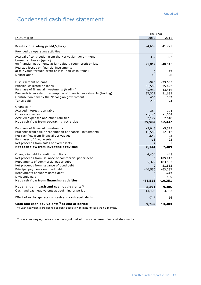# Condensed cash flow statement

|                                                                                   | The Year           |                 |
|-----------------------------------------------------------------------------------|--------------------|-----------------|
| (NOK million)                                                                     | 2012               | 2011            |
|                                                                                   |                    |                 |
| Pre-tax operating profit/(loss)                                                   | $-24,659$          | 41,721          |
| Provided by operating activities:                                                 |                    |                 |
| Accrual of contribution from the Norwegian government                             | -337               | $-322$          |
| Unrealized losses (gains)                                                         |                    |                 |
| on financial instruments at fair value through profit or loss                     | 25,812             | -40,515         |
| Realized losses on financial instruments                                          |                    |                 |
| at fair value through profit or loss [non-cash items]                             | $\mathbf{0}$       | 27              |
| Depreciation                                                                      | 18                 | 20              |
| Disbursement of loans                                                             | $-923$             | $-33,685$       |
| Principal collected on loans                                                      | 31,555             | 35,422          |
| Purchase of financial investments (trading)                                       | $-35,982$          | $-43,516$       |
| Proceeds from sale or redemption of financial investments (trading)               | 37,322             | 51,683          |
| Contribution paid by the Norwegian government                                     | 405                | 382             |
| Taxes paid                                                                        | $-295$             | $-74$           |
|                                                                                   |                    |                 |
| Changes in:                                                                       |                    |                 |
| Accrued interest receivable<br>Other receivables                                  | 384                | 224             |
|                                                                                   | $-1,145$           | $-1,638$        |
| Accrued expenses and other liabilities<br>Net cash flow from operating activities | $-2,172$<br>29,983 | 2,618<br>12,347 |
|                                                                                   |                    |                 |
| Purchase of financial investments                                                 | $-5,043$           | $-5,575$        |
| Proceeds from sale or redemption of financial investments                         | 11,556             | 12,912          |
| Net cashflow from financial derivatives                                           | 1,642              | 93              |
| Purchases of fixed assets                                                         | $-13$              | $-22$           |
| Net proceeds from sales of fixed assets                                           | $\overline{2}$     | 1               |
| Net cash flow from investing activities                                           | 8,144              | 7,409           |
| Change in debt to credit institutions                                             | 4,404              | -45             |
| Net proceeds from issuance of commercial paper debt                               | 0                  | 185,915         |
| Repayments of commercial paper debt                                               | $-5,372$           | $-183,537$      |
| Net proceeds from issuance of bond debt                                           | $\Omega$           | 51,552          |
| Principal payments on bond debt                                                   | $-40,550$          | $-63,287$       |
| Repayments of subordinated debt                                                   | $\mathbf{0}$       | -449            |
| Dividends paid                                                                    | $\Omega$           | $-500$          |
| Net cash flow from financing activities                                           | $-41,518$          | $-10,351$       |
| Net change in cash and cash equivalents <sup>*</sup>                              | $-3,391$           | 9,405           |
| Cash and cash equivalents at beginning of period                                  | 13,403             | 3,932           |
|                                                                                   |                    |                 |
| Effect of exchange rates on cash and cash equivalents                             | $-747$             | 66              |
| Cash and cash equivalents <sup>*</sup> ) at end of period                         | 9,265              | 13,403          |

\*) Cash equivalents are defined as bank deposits with maturity less than 3 months.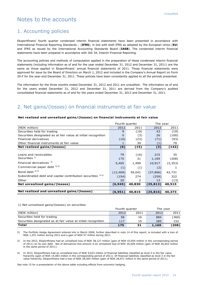## Notes to the accounts

#### 1. Accounting policies

Eksportfinans' fourth quarter condensed interim financial statements have been presented in accordance with International Financial Reporting Standards – (**IFRS**), in line with both IFRS as adopted by the European Union (**EU**) and IFRS as issued by the International Accounting Standards Board (**IASB**). The condensed interim financial statements have been prepared in accordance with IAS 34, Interim Financial Reporting.

The accounting policies and methods of computation applied in the preparation of these condensed interim financial statements (including information as of and for the year ended December 31, 2012 and December 31, 2011) are the same as those applied in Eksportfinans' annual financial statements of 2011. Those financial statements were approved for issue by the Board of Directors on March 1, 2012 and included in the Company's Annual Report on Form 20-F for the year-end December 31, 2011. These policies have been consistently applied to all the periods presented.

The information for the three months ended December 31, 2012 and 2011 are unaudited. The information as of and for the years ended December 31, 2012 and December 31, 2011 are derived from the Company's audited consolidated financial statements as of and for the years ended December 31, 2012 and December 31, 2011.

## 2. Net gains/(losses) on financial instruments at fair value

#### **Net realized and unrealized gains/(losses) on financial instruments at fair value**

|                                                               | Fourth quarter |        | The year  |          |
|---------------------------------------------------------------|----------------|--------|-----------|----------|
| (NOK million)                                                 | 2012           | 2011   | 2012      | 2011     |
| Securities held for trading                                   | 9              | (19)   | 43        | (19)     |
| Securities designated as at fair value at initial recognition | 0              | (3)    | 26        | (100)    |
| Financial derivatives                                         | (16)           | (23)   | (71)      | (93)     |
| Other financial instruments at fair value                     |                | 30     | (1)       | 70       |
| Net realized gains/(losses)                                   | (6)            | (15)   | (3)       | (142)    |
|                                                               |                |        |           |          |
| Loans and receivables                                         | 79             | (16)   | 215       | 35       |
| Securities <sup>1)</sup>                                      | 175            | 31     | 1,169     | (208)    |
| Financial derivatives $2$                                     | 5,405          | 1,499  | 10,917    | (2, 353) |
| Commercial paper debt 3) 4)                                   | (1)            | (1)    | (2)       |          |
| Bond debt $^{3)$ 4)                                           | (12, 469)      | 39,041 | (37, 866) | 42,731   |
| Subordinated debt and capital contribution securities 3) 4)   | (154)          | 274    | (259)     | 322      |
| Other                                                         | 20             | 2      | 13        | (13)     |
| Net unrealized gains/(losses)                                 | (6, 945)       | 40,830 | (25, 813) | 40,515   |
|                                                               |                |        |           |          |
| Net realized and unrealized gains/(losses)                    | (6, 951)       | 40,815 | (25, 816) | 40,373   |

1) Net unrealized gains/(losses) on securities

|                                                               | Fourth quarter |      | The vear |       |
|---------------------------------------------------------------|----------------|------|----------|-------|
| (NOK million)                                                 | 2012           | 2011 | 2012     | 2011  |
| Securities held for trading                                   | 58             | 16   | 884      | (360) |
| Securities designated as at fair value at initial recognition | 117            | 15   | 285      | 152   |
| Total                                                         | 175            | 31   | 1,169    | 【208】 |

2) The Portfolio Hedge Agreement entered into in March 2008, further described in note 14 of this report, is included with a loss of NOK 1,251 million during 2012 and a gain of NOK 57 million during 2011.

In the 2012, Eksportfinans had an unrealized loss of NOK 38,127 million (gain of NOK 43,054 million in the corresponding period of 2011) on its own debt. Net of derivatives this amount is an unrealized loss of NOK 26,028 million (gain of NOK 40,653 million in the same period of 2011).

4) In 2012, Eksportfinans had an unrealized loss of NOK 9,623 million of financial liabilities classified as level 2 in the fair value hierarchy (gain of NOK 14,083 million in the corresponding period of 2011). Of financial liabilities classified as level 3 in the fair value hierarchy, Eksportfinans had a loss of NOK 28,504 million (gain of NOK 28,971 million in the same period of 2011).

See note 15 for a presentation of the above table including effects from economic hedging.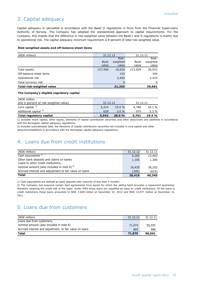## 3. Capital adequacy

Capital adequacy is calculated in accordance with the Basel II regulations in force from the Financial Supervisory Authority of Norway. The Company has adopted the standardized approach to capital requirements. For the Company, this implies that the difference in risk-weighted value between the Basel I and II regulations is mainly due to operational risk. The capital adequacy minimum requirement is 8 percent of total risk-weighted value.

#### **Risk-weighted assets and off-balance sheet items**

| (NOK million)             | 31.12.12    |          | 31.12.11    |          |
|---------------------------|-------------|----------|-------------|----------|
|                           |             | Risk-    |             | Risk-    |
|                           | <b>Book</b> | weighted | <b>Book</b> | weighted |
|                           | value       | value    | value       | value    |
| Total assets              | 157,406     | 18,626   | 213,929     | 26,933   |
| Off-balance sheet items   |             | 152      |             | 304      |
| Operational risk          |             | 2,465    |             | 2,424    |
| Total currency risk       |             | 0        |             | 0        |
| Total risk-weighted value |             | 21,243   |             | 29,661   |

#### **The Company's eligible regulatory capital**

| (NOK million                           |          |       |          |        |
|----------------------------------------|----------|-------|----------|--------|
| and in percent of risk-weighted value) | 31.12.12 |       | 31.12.11 |        |
| Core capital $1$ <sup>1</sup>          | 5,314    | 25.0% | 4,786    | 16.1 % |
| Additional capital <sup>2)</sup>       | 628      | 3.0%  | 975      | 3.3 %  |
| Total regulatory capital               | 5,942    | 28.0% | 5,761    | 19.4%  |

1) Includes share capital, other equity, elements of capital contribution securities and other deductions and additions in accordance with the Norwegian capital adequacy regulations.

2) Includes subordinated debt, the elements of capital contribution securities not included in core capital and other

deductions/additions in accordance with the Norwegian capital adequacy regulations.

#### 4. Loans due from credit institutions

| (NOK million)                                                                  | 31.12.12 | 31.12.11 |
|--------------------------------------------------------------------------------|----------|----------|
| Cash equivalents <sup>1)</sup>                                                 | 9,265    | 13,403   |
| Other bank deposits and claims on banks<br>Loans to other credit institutions, | 1,105    | 1,300    |
| nominal amount (also included in note 6) $^{2}$                                | 16,435   | 26,252   |
| Accrued interest and adjustment to fair value on loans                         | (395)    | (615)    |
| <b>Total</b>                                                                   | 26,410   | 40,340   |

1) Cash equivalents are defined as bank deposits with maturity of less than 3 months.

2) The Company has acquired certain loan agreements from banks for which the selling bank provides a repayment guarantee, therefore retaining the credit risk of the loans. Under IFRS these loans are classified as loans to credit institutions. Of the loans to credit institutions these loans amounted to NOK 7,648 million at December 31, 2012 and NOK 13,977 million at December 31, 2011.

### 5. Loans due from customers

| (NOK million)                                          | 31.12.12 | 31.12.11 |
|--------------------------------------------------------|----------|----------|
| Loans due from customers,                              |          |          |
| nominal amount (also included in note 6)               | 71,074   | 95,555   |
| Accrued interest and adjustment to fair value on loans | 805      | 986      |
| <b>Total</b>                                           | 71,879   | 96,541   |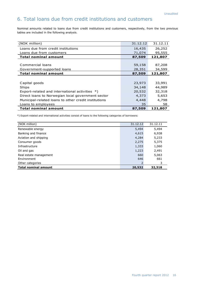## 6. Total loans due from credit institutions and customers

Nominal amounts related to loans due from credit institutions and customers, respectively, from the two previous tables are included in the following analysis.

| (NOK million)                                        | 31.12.12 | 31.12.11 |
|------------------------------------------------------|----------|----------|
| Loans due from credit institutions                   | 16,435   | 26,252   |
| Loans due from customers                             | 71,074   | 95,555   |
| <b>Total nominal amount</b>                          | 87,509   | 121,807  |
|                                                      |          |          |
| Commercial loans                                     | 59,158   | 87,208   |
| Government-supported loans                           | 28,351   | 34,599   |
| <b>Total nominal amount</b>                          | 87,509   | 121,807  |
|                                                      |          |          |
| Capital goods                                        | 23,973   | 33,991   |
| Ships                                                | 34,148   | 44,989   |
| Export-related and international activities *)       | 20,532   | 32,318   |
| Direct loans to Norwegian local government sector    | 4,373    | 5,653    |
| Municipal-related loans to other credit institutions | 4,448    | 4,798    |
| Loans to employees                                   | 35       | 58       |
| <b>Total nominal amount</b>                          | 87,509   | 121,807  |

\*) Export-related and international activities consist of loans to the following categories of borrowers:

| (NOK million)               | 31.12.12 | 31.12.11 |
|-----------------------------|----------|----------|
| Renewable energy            | 5,494    | 5,494    |
| Banking and finance         | 4,615    | 6,938    |
| Aviation and shipping       | 4,284    | 5,233    |
| Consumer goods              | 2,275    | 5,375    |
| Infrastructure              | 1,333    | 1,060    |
| Oil and gas                 | 1,223    | 2,491    |
| Real estate management      | 660      | 5,063    |
| Environment                 | 646      | 661      |
| Other categories            | 2        | 3        |
| <b>Total nominal amount</b> | 20,532   | 32,318   |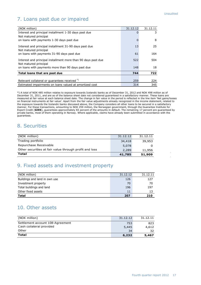#### Unaudited

l.

# 7. Loans past due or impaired

| (NOK million)                                                                          | 31.12.12 | 31.12.11 |
|----------------------------------------------------------------------------------------|----------|----------|
| Interest and principal installment 1-30 days past due                                  | 0        | 3        |
| Not matured principal                                                                  |          |          |
| on loans with payments 1-30 days past due                                              | 0        | 8        |
| Interest and principal installment 31-90 days past due                                 | 13       | 25       |
| Not matured principal<br>on loans with payments 31-90 days past due                    | 61       | 164      |
| Interest and principal installment more than 90 days past due<br>Not matured principal | 522      | 504      |
| on loans with payments more than 90 days past due                                      | 148      | 18       |
| Total loans that are past due                                                          | 744      | 722      |
|                                                                                        |          |          |
| Relevant collateral or guarantees received *)                                          | 259      | 224      |
| Estimated impairments on loans valued at amortized cost                                | 314      | 345      |

\*) A total of NOK 485 million relates to exposure towards Icelandic banks as of December 31, 2012 and NOK 498 million as of December 31, 2011, and are as of the balance sheet date not considered guaranteed in a satisfactory manner. These loans are measured at fair value at each balance sheet date. The change in fair value in the period is reflected in the line item 'Net gains/losses on financial instruments at fair value'. Apart from the fair value adjustments already recognized in the income statement, related to the exposure towards the Icelandic banks discussed above, the Company considers all other loans to be secured in a satisfactory manner. For these transactions, amounting to NOK 259 million, the Norwegian government, through the Guarantee Institute for Export Credit (**GIEK**), guarantees approximately 83 percent of the amounts in default. The remaining 17 percent are guaranteed by private banks, most of them operating in Norway. Where applicable, claims have already been submitted in accordance with the guarantees.

#### 8. Securities

| (NOK million)                                          | 31.12.12 | 31.12.11 |
|--------------------------------------------------------|----------|----------|
| Trading portfolio                                      | 34,418   | 39,953   |
| Repurchase Receivable                                  | 5,078    |          |
| Other securities at fair value through profit and loss | 2,289    | 11,956   |
| Total                                                  | 41,785   | 51,909   |

## 9. Fixed assets and investment property

| (NOK million)                 | 31.12.12 | 31.12.11 |
|-------------------------------|----------|----------|
| Buildings and land in own use | 126      | 127      |
| Investment property           | 70       | 70       |
| Total buildings and land      | 196      | 197      |
| Other fixed assets            | 11       |          |
| <b>Total</b>                  | 207      | 210      |

#### 10. Other assets

| (NOK million)                    | 31.12.12 | 31.12.11 |
|----------------------------------|----------|----------|
| Settlement account 108-Agreement | 753      | 823      |
| Cash collateral provided         | 5,445    | 4.612    |
| Other                            | 34       | 32       |
| Total                            | 6,232    | 5,467    |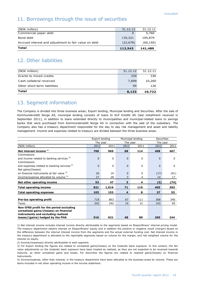### 11. Borrowings through the issue of securities

| (NOK million)                                         | 31.12.12  | 31.12.11  |
|-------------------------------------------------------|-----------|-----------|
| Commercial paper debt                                 |           | 5,760     |
| Bond debt                                             | 135,221   | 195,879   |
| Accrued interest and adjustment to fair value on debt | (22, 678) | (60, 150) |
| Total                                                 | 112,543   | 141,489   |

## 12. Other liabilities

| Total                        | 8,133    | 10,722   |
|------------------------------|----------|----------|
| Other short-term liabilities | 95       | 126.     |
| Cash collateral received     | 7,699    | 10,260   |
| Grants to mixed credits      | 339      | 336      |
| (NOK million)                | 31.12.12 | 31.12.11 |
|                              |          |          |

## 13. Segment information

The Company is divided into three business areas; Export lending, Municipal lending and Securities. After the sale of Kommunekreditt Norge AS, municipal lending consists of loans to KLP Kreditt AS (last installment received in September 2011), in addition to loans extended directly to municipalities and municipal-related loans to savings banks that were purchased from Kommunekreditt Norge AS in connection with the sale of the subsidiary. The Company also has a treasury department responsible for the day to day risk management and asset and liability management. Income and expenses related to treasury are divided between the three business areas.

|                                                        | Export lending<br>Municipal lending |                      |          | <b>Securities</b> |              |          |
|--------------------------------------------------------|-------------------------------------|----------------------|----------|-------------------|--------------|----------|
|                                                        |                                     | The year<br>The year |          | The year          |              |          |
| (NOK million)                                          | 2012                                | 2011                 | 2012     | 2011              | 2012         | 2011     |
| Net interest income <sup>1</sup>                       | 768                                 | 969                  | 68       | 114               | 408          | 467      |
| Commissions                                            |                                     |                      |          |                   |              |          |
| and income related to banking services <sup>2)</sup>   | $\Omega$                            | $\Omega$             | $\Omega$ | 0                 | $\Omega$     | $\Omega$ |
| Commissions                                            |                                     |                      |          |                   |              |          |
| and expenses related to banking services <sup>2)</sup> | $\Omega$                            | 0                    | $\Omega$ | 0                 | $\mathbf{0}$ | 0        |
| Net gains/(losses)                                     |                                     |                      |          |                   |              |          |
| on financial instruments at fair value <sup>3)</sup>   | 26                                  | 19                   | $\Omega$ | 0                 | (17)         | (91)     |
| Income/expense allocated by volume <sup>4)</sup>       | 27                                  | 28                   | 3        | 4                 | 14           | 17       |
| Net other operating income                             | 53                                  | 47                   | 3        | 4                 | (3)          | (74)     |
| <b>Total operating income</b>                          | 821                                 | 1,016                | 71       | 119               | 405          | 393      |
| <b>Total operating expenses</b>                        | 103                                 | 153                  | 4        | 8                 | 37           | 53       |
|                                                        |                                     |                      |          |                   |              |          |
| Pre-tax operating profit                               | 718                                 | 863                  | 67       | 111               | 368          | 340      |
| Taxes                                                  | 202                                 | 242                  | 19       | 31                | 103          | 95       |
| Non-IFRS profit for the period excluding               |                                     |                      |          |                   |              |          |
| unrealized gains/(losses) on financial                 |                                     |                      |          |                   |              |          |
| instruments and excluding realized                     |                                     |                      |          |                   |              |          |
| losses/(gains) hedged by the PHA                       | 516                                 | 621                  | 48       | 80                | 265          | 244      |

1) Net interest income includes interest income directly attributable to the segments based on Eksportfinans' internal pricing model. The treasury department obtains interest on Eksportfinans' equity and in addition the positive or negative result (margin) based on the difference between the internal interest income from the segments and the actual external funding cost. Net interest income in the treasury department is allocated to the reportable segments based on volume for the margin, and risk weighted volume for the interest on equity.

2) Income/(expenses) directly attributable to each segment.

3) For Export lending the figures are related to unrealized gains/(losses) on the Icelandic bank exposure. In this context, the fair value adjustments on the Icelandic bank exposure have been treated as realized, as they are not expected to be reversed towards maturity, as other unrealized gains and losses. For Securities the figures are related to realized gains/(losses) on financial instruments.

4) Income/expense, other than interest, in the treasury department have been allocated to the business areas by volume. These are items included in net other operating income in the income statement.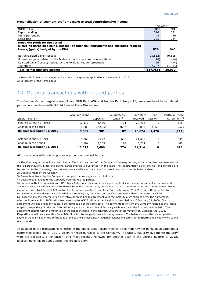#### **Reconciliation of segment profit measure to total comprehensive income**

|                                                                                      | The vear  |           |
|--------------------------------------------------------------------------------------|-----------|-----------|
| (NOK million)                                                                        | 2012      | 2011      |
| Export lending                                                                       | 516       | 621       |
| Municipal lending                                                                    | 48        | 80        |
| Securities                                                                           | 265       | 244       |
| Non-IFRS profit for the period                                                       |           |           |
| excluding unrealized gains/(losses) on financial instruments and excluding realized  |           |           |
| losses/(gains) hedged by the PHA                                                     | 829       | 945       |
|                                                                                      |           |           |
| Net unrealized gains/(losses)                                                        | (25, 812) | 40,515    |
| Unrealized gains related to the Icelandic bank exposure included above <sup>1)</sup> | (26)      | (14)      |
| Realized gains/(losses) hedged by the Portfolio Hedge Agreement                      | 26        | (94)      |
| Tax effect $2$                                                                       | 7,227     | (11, 314) |
| Total comprehensive income                                                           | (17,756   | 30,039    |

1) Reversal of previously recognized loss (at exchange rates applicable at December 31, 2012).

2) 28 percent of the items above.

#### 14. Material transactions with related parties

The Company's two largest shareholders, DNB Bank ASA and Nordea Bank Norge AS, are considered to be related parties in accordance with IAS 24 Related Party Disclosures.

| (NOK millions)                   | Acquired loans<br>1) | Deposits <sup>2)</sup> | Guarantees<br>issued 3) | Guarantees<br>received <sup>4)</sup> | Repo<br>facility <sup>5)</sup> | Portfolio Hedge<br>Agreement <sup>6)</sup> |
|----------------------------------|----------------------|------------------------|-------------------------|--------------------------------------|--------------------------------|--------------------------------------------|
| Balance January 1, 2012          | 12,373               | 3,486                  | 774                     | 24,714                               |                                | 615                                        |
| Change in the period             | (6,688)              | (2,505)                | (687)                   | (3,890)                              | 4,476                          | (757)                                      |
| <b>Balance December 31, 2012</b> | 5,685                | 981                    | 87                      | 20,824                               | 4,476                          | (142)                                      |
|                                  |                      |                        |                         |                                      |                                |                                            |
| Balance January 1, 2011          | 10,869               | 1,277                  | 656                     | 21,480                               |                                | 535                                        |
| Change in the period             | 1,504                | 2,209                  | 118                     | 3,234                                |                                | 80                                         |
| <b>Balance December 31, 2011</b> | 12,373               | 3,486                  | 774                     | 24,714                               |                                | 615                                        |

All transactions with related parties are made on market terms.

1) The Company acquires loans from banks. The loans are part of the Company's ordinary lending activity, as they are extended to the export industry. Since the selling banks provide a guarantee for the loans, not substantially all of the risk and rewards are transferred to the Company, thus the loans are classified as loans due from credit institutions in the balance sheet.

2) Deposits made by the Company.

3) Guarantees issued by the Company to support the Norwegian export industry.

4) Guarantees provided to the Company from the related parties.

5) Non-committed Repo facility with DNB Bank ASA. Under this framework agreement, Eksportfinans can transact in an unlimited amount of eligible securities with DNB Bank ASA as the counterparty, but neither party is committed to do so. The Agreement has no expiration date. To date, EUR 600 million has been drawn with a Repurchase Date of February 26, 2015, but with the option to terminate the drawn down tranche in whole on February 27, 2013 and on specified termination dates thereafter (weekly). 6) Eksportfinans has entered into a derivative portfolio hedge agreement with the majority of its shareholders. The agreement, effective from March 1, 2008, will offset losses up to NOK 5 billion in the liquidity portfolio held as of February 29, 2008. The agreement will also offset any gains in the portfolio as of the same date. The payments to or from the Company related to the losses or gains, respectively, in the portfolio, will take place on the last day of February each year, with the first payment in 2011. The agreement expires with the maturities of the bonds included in the contract, with the latest maturity on December 31, 2023. Eksportfinans will pay a monthly fee of NOK 5 million to the participants in the agreement. The balances show the related parties' share of the fair value of the contract as of the balance sheet date. A negative balance indicates that Eksportfinans owes money to the related parties.

In addition to the transactions reflected in the above table, Eksportfinans' three major owner banks have extended a committed credit line of USD 2 billion for repo purposes to the Company. The facility has a twelve month maturity with the possibility of extension, and most recently renewed for another year in the second quarter of 2012. Eksportfinans has not yet utilized this credit facility.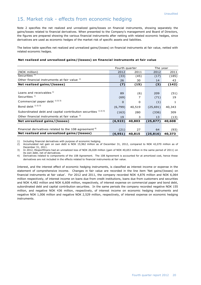## 15. Market risk - effects from economic hedging

Note 2 specifies the net realized and unrealized gains/losses on financial instruments, showing separately the gains/losses related to financial derivatives. When presented to the Company's management and Board of Directors, the figures are prepared showing the various financial instruments after netting with related economic hedges, since derivatives are used as economic hedges of the market risk of specific assets and liabilities.

The below table specifies net realized and unrealized gains/(losses) on financial instruments at fair value, netted with related economic hedges.

#### **Net realized and unrealized gains/(losses) on financial instruments at fair value**

|                                                                  | Fourth quarter |          | The year  |        |  |
|------------------------------------------------------------------|----------------|----------|-----------|--------|--|
| (NOK million)                                                    | 2012           | 2011     | 2012      | 2011   |  |
| Securities <sup>1)</sup>                                         | (33)           | (45)     | (17)      | (185)  |  |
| Other financial instruments at fair value 1)                     | 26             | 30       | 14        | 43     |  |
| Net realized gains/(losses)                                      | (7)            | (15)     | (3)       | (142)  |  |
|                                                                  |                |          |           |        |  |
| Loans and receivables 1)                                         | 89             | (6)      | 209       | (51)   |  |
| Securities $1$                                                   | (69)           |          | (71)      | 19     |  |
| Commercial paper debt 1) 2) 3)                                   | $\Omega$       | $\Omega$ | (1)       | 1      |  |
| Bond debt 1) 2) 3)                                               | (6,799)        | 40,519   | (25, 691) | 40,343 |  |
| Subordinated debt and capital contribution securities 1) 2) 3)   | (163)          | 280      | (336)     | 309    |  |
| Other financial instruments at fair value 1)                     | 19             | 3        | 13        | (13)   |  |
| Net unrealized gains/(losses)                                    | (6, 923)       | 40,803   | (25, 877) | 40,608 |  |
|                                                                  |                |          |           |        |  |
| Financial derivatives related to the 108 agreement <sup>4)</sup> | (21)           | 27       | 64        | (93)   |  |
| Net realized and unrealized gains/(losses)                       | (6,951)        | 40,815   | (25, 816) | 40,373 |  |

1) Including financial derivatives with purpose of economic hedging.<br>2) Accumulated net gain on own debt is NOK 15,962 million as c

2) Accumulated net gain on own debt is NOK 15,962 million as of December 31, 2012, compared to NOK 42,070 million as of December 31, 2011.

3) In 2012, Eksportfinans had an unrealized loss of NOK 26,028 million (gain of NOK 40,653 million in the same period of 2011) on its own debt, net of derivatives.

4) Derivatives related to components of the 108 Agreement. The 108 Agreement is accounted for at amortized cost, hence these derivatives are not included in the effects related to financial instruments at fair value.

Interest, and the interest effect of economic hedging instruments, is classified as interest income or expense in the statement of comprehensive income. Changes in fair value are recorded in the line item 'Net gains/(losses) on financial instruments at fair value'. For 2012 and 2011, the company recorded NOK 4,876 million and NOK 6,064 million respectively, of interest income on loans due from credit institutions, loans due from customers and securities and NOK 4,482 million and NOK 6,608 million, respectively, of interest expense on commercial paper and bond debt, subordinated debt and capital contribution securities. In the same periods the company recorded negative NOK 155 million, and negative NOK 436 million, respectively, of interest income on economic hedging instruments and negative NOK 1,006 million and negative NOK 2,529 million, respectively, of interest expense on economic hedging instruments.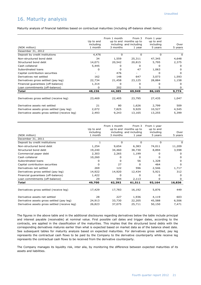## 16. Maturity analysis

Maturity analysis of financial liabilities based on contractual maturities (including off-balance sheet items):

|                                               |           | From 1 month | From 3                  | From 1 year |              |
|-----------------------------------------------|-----------|--------------|-------------------------|-------------|--------------|
|                                               | Up to and |              | up to and months up to  | up to and   |              |
|                                               | including |              | including and including | including   | Over         |
| (NOK million)                                 | 1 month   | 3 months     | 1 year                  | 5 years     | 5 years      |
| Desember 31, 2012                             |           |              |                         |             |              |
| Deposit by credit institutions                | 4,476     | $\Omega$     | 0                       | 0           | O            |
| Non-structured bond debt                      | 34        | 1,559        | 25,311                  | 47,345      | 4,648        |
| Structured bond debt                          | 14,071    | 20,542       | 20,815                  | 5,795       | 2,375        |
| Cash collateral                               | 5,445     | 0            | 0                       | O           | <sup>0</sup> |
| Subordinated loans                            | O         | 0            | 47                      | 1,063       | <sup>0</sup> |
| Capital contribution securities               |           | 476          |                         | o           | O            |
| Derivatives net settled                       | 162       | 148          | 647                     | 3,073       | 1,593        |
| Derivatives gross settled (pay leg)           | 22,734    | 21,458       | 23,125                  | 28,884      | 1,158        |
| Financial guarantees (off-balance)            | 1,314     | 0            | o                       |             | <sup>0</sup> |
| Loan commitments (off-balance)                | 0         | 202          | 5                       | 5           | <sup>0</sup> |
| Total                                         | 48,236    | 44,385       | 69,949                  | 86,165      | 9,774        |
|                                               |           |              |                         |             |              |
| Derivatives gross settled (receive leg)       | 23,469    | 22,405       | 23,795                  | 27,435      | 1,047        |
| Derivative assets net settled                 | 21        | 80           | 1,626                   | 2,799       | 509          |
| Derivative assets gross settled (pay leg)     | 2,072     | 7,825        | 9,929                   | 10,527      | 4,545        |
| Derivative assets gross settled (receive leg) | 2,493     | 9,243        | 13,165                  | 13,255      | 5,399        |
|                                               |           |              |                         |             |              |

| (NOK million)                                 | Up to and<br>including<br>1 month | From 1 month<br>3 months | From 3<br>up to and months up to<br>including and including<br>1 year | From 1 year<br>up to and<br>including<br>5 years | Over<br>5 years |
|-----------------------------------------------|-----------------------------------|--------------------------|-----------------------------------------------------------------------|--------------------------------------------------|-----------------|
| December 31, 2011                             |                                   |                          |                                                                       |                                                  |                 |
| Deposit by credit institutions                |                                   | <sup>0</sup>             | 0                                                                     | 0                                                | $\Omega$        |
| Non-structured bond debt                      | 1,254                             | 9,654                    | 6,383                                                                 | 74,011                                           | 11,209          |
| Structured bond debt                          | 19,240                            | 34,460                   | 38,730                                                                | 8,894                                            | 3,598           |
| Commercial paper debt                         | 2,303                             | 2,265                    | 1,199                                                                 | $^{\circ}$                                       | <sup>0</sup>    |
| Cash collateral                               | 10,260                            | 0                        | 0                                                                     | o                                                | <sup>0</sup>    |
| Subordinated loans                            | 0                                 | 0                        | 56                                                                    | 1,328                                            | <sup>0</sup>    |
| Capital contribution securities               | $\Omega$                          | 27                       | <sup>0</sup>                                                          | 464                                              | <sup>0</sup>    |
| Derivatives net settled                       | 269                               | 122                      | 596                                                                   | 2,546                                            | 1,717           |
| Derivatives gross settled (pay leg)           | 14,922                            | 14,920                   | 12,434                                                                | 5,921                                            | 312             |
| Financial guarantees (off-balance)            | 1,422                             | 0                        | 0                                                                     | O                                                | 0               |
| Loan commitments (off-balance)                | 29                                | 944                      | 2,113                                                                 | 0                                                | 0               |
| <b>Total</b>                                  | 49,700                            | 62,392                   | 61,511                                                                | 93,164                                           | 16,836          |
|                                               |                                   |                          |                                                                       |                                                  |                 |
| Derivatives gross settled (receive leg)       | 17,429                            | 17,783                   | 16,192                                                                | 5,876                                            | 449             |
| Derivative assets net settled                 | 28                                | 227                      | 1,936                                                                 | 4,119                                            | 603             |
| Derivative assets gross settled (pay leg)     | 24,913                            | 33,730                   | 22,205                                                                | 45,588                                           | 6,506           |
| Derivative assets gross settled (receive leg) | 26,823                            | 37,075                   | 25,711                                                                | 50,150                                           | 7,471           |

The figures in the above table and in the additional disclosures regarding derivatives below the table include principal and interest payable (receivable) at nominal value. First possible call dates and trigger dates, according to the contracts, are applied in the classification of the maturities. This implies that the structured bond debts with the corresponding derivatives matures earlier than what is expected based on market data as of the balance sheet date. See subsequent tables for maturity analysis based on expected maturities. For derivatives gross settled, pay leg represents the contractual cash flows to be paid by the Company to the derivative counterparty while receive leg represents the contractual cash flows to be received from the derivative counterparty.

The Company manages its liquidity risk, inter alia, by monitoring the difference between expected maturities of its assets and liabilities.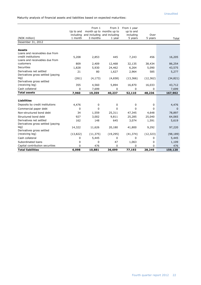Maturity analysis of financial assets and liabilities based on expected maturities:

|                                                              | Up to and<br>including | From 1    | From 3<br>month up to months up to<br>and including and including | From 1 year<br>up to and<br>including | Over         |              |
|--------------------------------------------------------------|------------------------|-----------|-------------------------------------------------------------------|---------------------------------------|--------------|--------------|
| (NOK million)                                                | 1 month                | 3 months  | 1 year                                                            | 5 years                               | 5 years      | Total        |
| Desember 31, 2012                                            |                        |           |                                                                   |                                       |              |              |
|                                                              |                        |           |                                                                   |                                       |              |              |
| <b>Assets</b>                                                |                        |           |                                                                   |                                       |              |              |
| Loans and receivables due from                               |                        |           |                                                                   |                                       |              |              |
| credit institutions                                          | 5,208                  | 2,853     | 445                                                               | 7,243                                 | 456          | 16,205       |
| Loans and receivables due from                               |                        |           |                                                                   |                                       |              |              |
| customers                                                    | 809                    | 2,409     | 12,468                                                            | 32,135                                | 38,434       | 86,254       |
| <b>Securities</b>                                            | 1,828                  | 5,930     | 24,462                                                            | 6,264                                 | 5,090        | 43,575       |
| Derivatives net settled<br>Derivatives gross settled (paying | 21                     | 80        | 1,627                                                             | 2,964                                 | 585          | 5,277        |
| leg)                                                         | (261)                  | (4, 173)  | (4,658)                                                           | (13, 366)                             | (12, 362)    | (34, 821)    |
| Derivatives gross settled                                    |                        |           |                                                                   |                                       |              |              |
| (receiving leg)                                              | 355                    | 4,560     | 5,894                                                             | 16,870                                | 16,033       | 43,712       |
| Cash collateral                                              | $\Omega$               | 7,699     | 0                                                                 | 0                                     | $\mathbf{0}$ | 7,699        |
| <b>Total assets</b>                                          | 7,960                  | 19,359    | 40,237                                                            | 52,110                                | 48,236       | 167,902      |
|                                                              |                        |           |                                                                   |                                       |              |              |
| <b>Liabilities</b>                                           |                        |           |                                                                   |                                       |              |              |
| Deposits by credit institutions                              | 4,476                  | 0         | 0                                                                 | 0                                     | 0            | 4,476        |
| Commercial paper debt                                        | 0                      | $\Omega$  | 0                                                                 | 0                                     | 0            | $\mathbf{0}$ |
| Non-structured bond debt                                     | 34                     | 1,559     | 25,311                                                            | 47,345                                | 4,648        | 78,897       |
| Structured bond debt                                         | 927                    | 3,002     | 9,811                                                             | 25,285                                | 25,040       | 64,065       |
| Derivatives net settled                                      | 162                    | 148       | 645                                                               | 3,074                                 | 1,591        | 5,619        |
| Derivatives gross settled (paying                            |                        |           |                                                                   |                                       |              |              |
| leg)<br>Derivatives gross settled                            | 14,322                 | 11,626    | 20,180                                                            | 41,800                                | 9,292        | 97,220       |
| (receiving leg)                                              | (13, 822)              | (11, 375) | (19, 295)                                                         | (41, 374)                             | (12, 323)    | (98, 189)    |
| Cash collateral                                              | 0                      | 5,445     | 0                                                                 | 0                                     | 0            | 5,445        |
| Subordinated loans                                           | 0                      | 0         | 47                                                                | 1,063                                 | 0            | 1,109        |
| Capital contribution securities                              | 0                      | 476       | 0                                                                 | 0                                     | 0            | 476          |
| <b>Total liabilities</b>                                     | 6,098                  | 10,881    | 36,699                                                            | 77,193                                | 28,249       | 159,120      |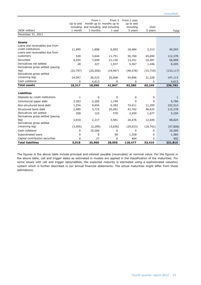|                                   | Up to and | From 1    | From 3<br>month up to months up to              | From 1 year<br>up to and |                 |            |
|-----------------------------------|-----------|-----------|-------------------------------------------------|--------------------------|-----------------|------------|
| (NOK million)                     | 1 month   | 3 months  | including and including and including<br>1 year | including<br>5 years     | Over<br>5 years | Total      |
| December 31, 2011                 |           |           |                                                 |                          |                 |            |
|                                   |           |           |                                                 |                          |                 |            |
| <b>Assets</b>                     |           |           |                                                 |                          |                 |            |
| Loans and receivables due from    |           |           |                                                 |                          |                 |            |
| credit institutions               | 11,995    | 1,898     | 6,003                                           | 18,484                   | 2,213           | 40,593     |
| Loans and receivables due from    |           |           |                                                 |                          |                 |            |
| customers                         | 528       | 3,644     | 11,751                                          | 50,760                   | 45,694          | 112,378    |
| Securities                        | 4,555     | 7,649     | 21,156                                          | 13,251                   | 10,387          | 56,999     |
| Derivatives net settled           | 28        | 227       | 1,937                                           | 4,567                    | 1,446           | 8,205      |
| Derivatives gross settled (paying |           |           |                                                 |                          |                 |            |
| leg)                              | (22, 797) | (25, 556) | (19, 467)                                       | (49, 578)                | (15, 719)       | (133, 117) |
| Derivatives gross settled         |           |           |                                                 |                          |                 |            |
| (receiving leg)                   | 24,007    | 26,515    | 20,468                                          | 54,896                   | 21,228          | 147,113    |
| Cash collateral                   | 0         | 4,613     | 0                                               | 0                        | 0               | 4,613      |
| <b>Total assets</b>               | 18,317    | 18,990    | 41,847                                          | 92,380                   | 65,249          | 236,783    |
|                                   |           |           |                                                 |                          |                 |            |
| <b>Liabilities</b>                |           |           |                                                 |                          |                 |            |
| Deposits by credit institutions   | 1         | 0         | 0                                               | 0                        | 0               | 1          |
| Commercial paper debt             | 2,303     | 2,265     | 1,199                                           | $\Omega$                 | 0               | 5,766      |
| Non-structured bond debt          | 1,254     | 9,654     | 6,383                                           | 74,011                   | 11,209          | 102,512    |
| Structured bond debt              | 2,085     | 3,715     | 20,091                                          | 42,762                   | 46,625          | 115,278    |
| Derivatives net settled           | 269       | 122       | 578                                             | 2,459                    | 1,677           | 5,104      |
| Derivatives gross settled (paying |           |           |                                                 |                          |                 |            |
| leq)                              | 3,910     | 2,217     | 3,581                                           | 26,476                   | 12,640          | 48,824     |
| Derivatives gross settled         |           |           |                                                 |                          |                 |            |
| (receiving leg)                   | (3,905)   | (2, 299)  | (3,836)                                         | (29, 023)                | (18, 742)       | (57, 806)  |
| Cash collateral                   | 0         | 10,260    | 0                                               | 0                        | 0               | 10,260     |
| Subordinated loans                | 0         | 0         | 56                                              | 1,328                    | 0               | 1,384      |
| Capital contribution securities   | $\Omega$  | 27        | $\Omega$                                        | 464                      | 0               | 492        |
| <b>Total liabilities</b>          | 5,918     | 25,960    | 28,050                                          | 118,477                  | 53,410          | 231,815    |

The figures in the above table include principal and interest payable (receivable) at nominal value. For the figures in the above table, call and trigger dates as estimated in models are applied in the classification of the maturities. For some issues with call and trigger optionalities, the expected maturity is estimated using a sophisticated valuation system which is further described in our annual financial statements. The actual maturities might differ from these estimations.